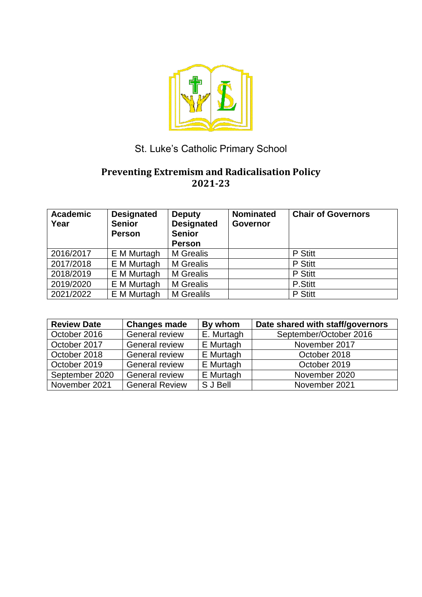

# St. Luke's Catholic Primary School

# **Preventing Extremism and Radicalisation Policy 2021-23**

| <b>Academic</b><br>Year | <b>Designated</b><br><b>Senior</b><br><b>Person</b> | <b>Deputy</b><br><b>Designated</b><br><b>Senior</b><br><b>Person</b> | <b>Nominated</b><br>Governor | <b>Chair of Governors</b> |
|-------------------------|-----------------------------------------------------|----------------------------------------------------------------------|------------------------------|---------------------------|
| 2016/2017               | E M Murtagh                                         | <b>M</b> Grealis                                                     |                              | P Stitt                   |
| 2017/2018               | E M Murtagh                                         | <b>M</b> Grealis                                                     |                              | P Stitt                   |
| 2018/2019               | E M Murtagh                                         | <b>M</b> Grealis                                                     |                              | P Stitt                   |
| 2019/2020               | E M Murtagh                                         | <b>M</b> Grealis                                                     |                              | P.Stitt                   |
| 2021/2022               | E M Murtagh                                         | <b>M</b> Grealils                                                    |                              | P Stitt                   |

| <b>Review Date</b> | <b>Changes made</b>   | By whom    | Date shared with staff/governors |
|--------------------|-----------------------|------------|----------------------------------|
| October 2016       | <b>General review</b> | E. Murtagh | September/October 2016           |
| October 2017       | General review        | E Murtagh  | November 2017                    |
| October 2018       | <b>General review</b> | E Murtagh  | October 2018                     |
| October 2019       | General review        | E Murtagh  | October 2019                     |
| September 2020     | <b>General review</b> | E Murtagh  | November 2020                    |
| November 2021      | <b>General Review</b> | S J Bell   | November 2021                    |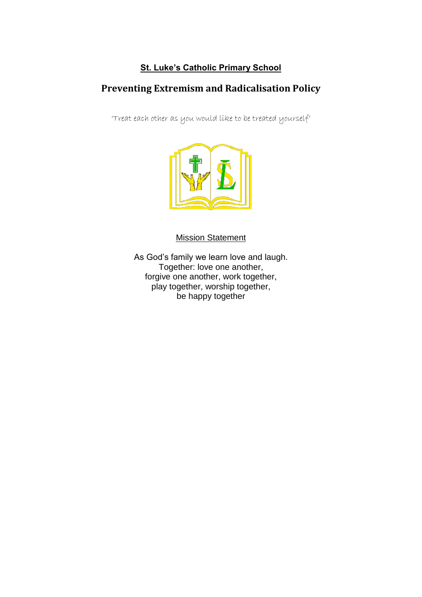### **St. Luke's Catholic Primary School**

# **Preventing Extremism and Radicalisation Policy**

'Treat each other as you would like to be treated yourself'



Mission Statement

As God's family we learn love and laugh. Together: love one another, forgive one another, work together, play together, worship together, be happy together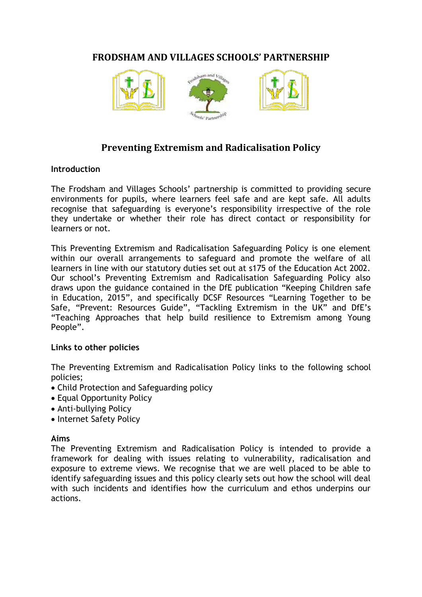### **FRODSHAM AND VILLAGES SCHOOLS' PARTNERSHIP**



### **Preventing Extremism and Radicalisation Policy**

#### **Introduction**

The Frodsham and Villages Schools' partnership is committed to providing secure environments for pupils, where learners feel safe and are kept safe. All adults recognise that safeguarding is everyone's responsibility irrespective of the role they undertake or whether their role has direct contact or responsibility for learners or not.

This Preventing Extremism and Radicalisation Safeguarding Policy is one element within our overall arrangements to safeguard and promote the welfare of all learners in line with our statutory duties set out at s175 of the Education Act 2002. Our school's Preventing Extremism and Radicalisation Safeguarding Policy also draws upon the guidance contained in the DfE publication "Keeping Children safe in Education, 2015", and specifically DCSF Resources "Learning Together to be Safe, "Prevent: Resources Guide", "Tackling Extremism in the UK" and DfE's "Teaching Approaches that help build resilience to Extremism among Young People".

#### **Links to other policies**

The Preventing Extremism and Radicalisation Policy links to the following school policies;

- Child Protection and Safeguarding policy
- Equal Opportunity Policy
- Anti-bullying Policy
- Internet Safety Policy

#### **Aims**

The Preventing Extremism and Radicalisation Policy is intended to provide a framework for dealing with issues relating to vulnerability, radicalisation and exposure to extreme views. We recognise that we are well placed to be able to identify safeguarding issues and this policy clearly sets out how the school will deal with such incidents and identifies how the curriculum and ethos underpins our actions.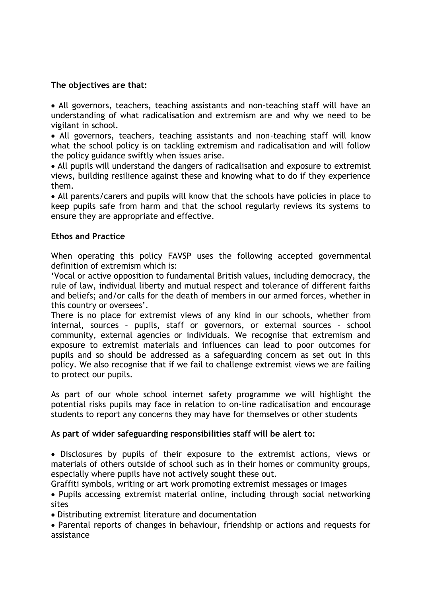#### **The objectives are that:**

 All governors, teachers, teaching assistants and non-teaching staff will have an understanding of what radicalisation and extremism are and why we need to be vigilant in school.

 All governors, teachers, teaching assistants and non-teaching staff will know what the school policy is on tackling extremism and radicalisation and will follow the policy guidance swiftly when issues arise.

 All pupils will understand the dangers of radicalisation and exposure to extremist views, building resilience against these and knowing what to do if they experience them.

 All parents/carers and pupils will know that the schools have policies in place to keep pupils safe from harm and that the school regularly reviews its systems to ensure they are appropriate and effective.

#### **Ethos and Practice**

When operating this policy FAVSP uses the following accepted governmental definition of extremism which is:

'Vocal or active opposition to fundamental British values, including democracy, the rule of law, individual liberty and mutual respect and tolerance of different faiths and beliefs; and/or calls for the death of members in our armed forces, whether in this country or oversees'.

There is no place for extremist views of any kind in our schools, whether from internal, sources – pupils, staff or governors, or external sources – school community, external agencies or individuals. We recognise that extremism and exposure to extremist materials and influences can lead to poor outcomes for pupils and so should be addressed as a safeguarding concern as set out in this policy. We also recognise that if we fail to challenge extremist views we are failing to protect our pupils.

As part of our whole school internet safety programme we will highlight the potential risks pupils may face in relation to on-line radicalisation and encourage students to report any concerns they may have for themselves or other students

#### **As part of wider safeguarding responsibilities staff will be alert to:**

 Disclosures by pupils of their exposure to the extremist actions, views or materials of others outside of school such as in their homes or community groups, especially where pupils have not actively sought these out.

Graffiti symbols, writing or art work promoting extremist messages or images

 Pupils accessing extremist material online, including through social networking sites

Distributing extremist literature and documentation

 Parental reports of changes in behaviour, friendship or actions and requests for assistance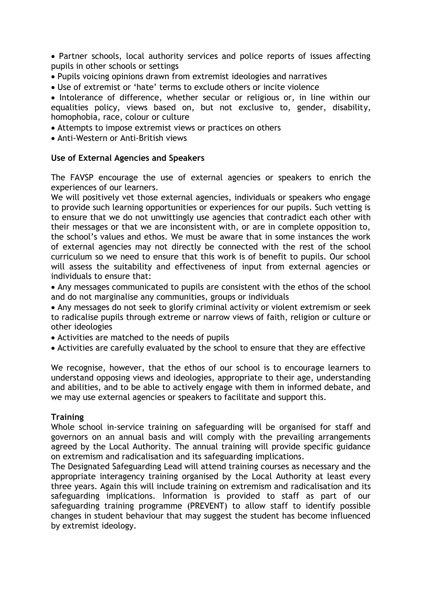Partner schools, local authority services and police reports of issues affecting pupils in other schools or settings

- Pupils voicing opinions drawn from extremist ideologies and narratives
- Use of extremist or 'hate' terms to exclude others or incite violence

• Intolerance of difference, whether secular or religious or, in line within our equalities policy, views based on, but not exclusive to, gender, disability, homophobia, race, colour or culture

- Attempts to impose extremist views or practices on others
- Anti-Western or Anti-British views

#### **Use of External Agencies and Speakers**

The FAVSP encourage the use of external agencies or speakers to enrich the experiences of our learners.

We will positively vet those external agencies, individuals or speakers who engage to provide such learning opportunities or experiences for our pupils. Such vetting is to ensure that we do not unwittingly use agencies that contradict each other with their messages or that we are inconsistent with, or are in complete opposition to, the school's values and ethos. We must be aware that in some instances the work of external agencies may not directly be connected with the rest of the school curriculum so we need to ensure that this work is of benefit to pupils. Our school will assess the suitability and effectiveness of input from external agencies or individuals to ensure that:

 Any messages communicated to pupils are consistent with the ethos of the school and do not marginalise any communities, groups or individuals

 Any messages do not seek to glorify criminal activity or violent extremism or seek to radicalise pupils through extreme or narrow views of faith, religion or culture or other ideologies

Activities are matched to the needs of pupils

Activities are carefully evaluated by the school to ensure that they are effective

We recognise, however, that the ethos of our school is to encourage learners to understand opposing views and ideologies, appropriate to their age, understanding and abilities, and to be able to actively engage with them in informed debate, and we may use external agencies or speakers to facilitate and support this.

#### **Training**

Whole school in-service training on safeguarding will be organised for staff and governors on an annual basis and will comply with the prevailing arrangements agreed by the Local Authority. The annual training will provide specific guidance on extremism and radicalisation and its safeguarding implications.

The Designated Safeguarding Lead will attend training courses as necessary and the appropriate interagency training organised by the Local Authority at least every three years. Again this will include training on extremism and radicalisation and its safeguarding implications. Information is provided to staff as part of our safeguarding training programme (PREVENT) to allow staff to identify possible changes in student behaviour that may suggest the student has become influenced by extremist ideology.